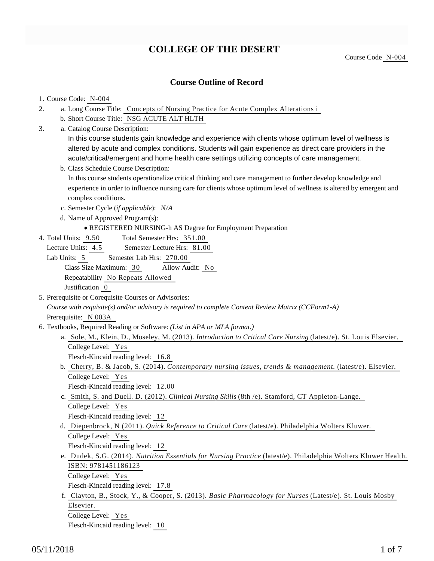## **COLLEGE OF THE DESERT**

## **Course Outline of Record**

#### 1. Course Code: N-004

- a. Long Course Title: Concepts of Nursing Practice for Acute Complex Alterations i 2.
	- b. Short Course Title: NSG ACUTE ALT HLTH
- Catalog Course Description: a. 3.

In this course students gain knowledge and experience with clients whose optimum level of wellness is altered by acute and complex conditions. Students will gain experience as direct care providers in the acute/critical/emergent and home health care settings utilizing concepts of care management.

b. Class Schedule Course Description:

In this course students operationalize critical thinking and care management to further develop knowledge and experience in order to influence nursing care for clients whose optimum level of wellness is altered by emergent and complex conditions.

- c. Semester Cycle (*if applicable*): *N/A*
- d. Name of Approved Program(s):
	- REGISTERED NURSING-h AS Degree for Employment Preparation
- Total Semester Hrs: 351.00 4. Total Units: 9.50

Lecture Units: 4.5 Semester Lecture Hrs: 81.00

Lab Units: 5 Semester Lab Hrs: 270.00 Class Size Maximum: 30 Allow Audit: No Repeatability No Repeats Allowed Justification 0

5. Prerequisite or Corequisite Courses or Advisories:

*Course with requisite(s) and/or advisory is required to complete Content Review Matrix (CCForm1-A)* Prerequisite: N 003A

- 6. Textbooks, Required Reading or Software: (List in APA or MLA format.)
	- a. Sole, M., Klein, D., Moseley, M. (2013). *Introduction to Critical Care Nursing* (latest/e). St. Louis Elsevier. College Level: Yes

Flesch-Kincaid reading level: 16.8

b. Cherry, B. & Jacob, S. (2014). *Contemporary nursing issues, trends & management*. (latest/e). Elsevier. College Level: Yes

Flesch-Kincaid reading level: 12.00

c. Smith, S. and Duell. D. (2012). *Clinical Nursing Skills* (8th /e). Stamford, CT Appleton-Lange. College Level: Yes

Flesch-Kincaid reading level: 12

d. Diepenbrock, N (2011). *Quick Reference to Critical Care* (latest/e). Philadelphia Wolters Kluwer. College Level: Yes

Flesch-Kincaid reading level: 12

e. Dudek, S.G. (2014). *Nutrition Essentials for Nursing Practice* (latest/e). Philadelphia Wolters Kluwer Health. ISBN: 9781451186123

College Level: Yes

Flesch-Kincaid reading level: 17.8

f. Clayton, B., Stock, Y., & Cooper, S. (2013). *Basic Pharmacology for Nurses* (Latest/e). St. Louis Mosby Elsevier.

College Level: Yes

Flesch-Kincaid reading level: 10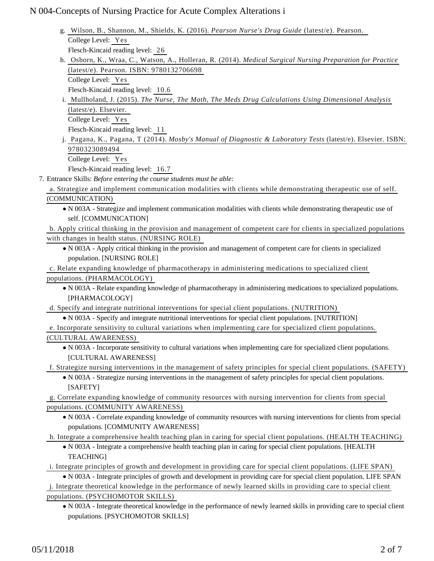| g. Wilson, B., Shannon, M., Shields, K. (2016). Pearson Nurse's Drug Guide (latest/e). Pearson.                           |
|---------------------------------------------------------------------------------------------------------------------------|
| College Level: Yes                                                                                                        |
| Flesch-Kincaid reading level: 26                                                                                          |
| h. Osborn, K., Wraa, C., Watson, A., Holleran, R. (2014). Medical Surgical Nursing Preparation for Practice               |
| (latest/e). Pearson. ISBN: 9780132706698                                                                                  |
| College Level: Yes                                                                                                        |
| Flesch-Kincaid reading level: 10.6                                                                                        |
| i. Mullholand, J. (2015). The Nurse, The Math, The Meds Drug Calculations Using Dimensional Analysis                      |
| (latest/e). Elsevier.                                                                                                     |
| College Level: Yes                                                                                                        |
| Flesch-Kincaid reading level: 11                                                                                          |
| j. Pagana, K., Pagana, T (2014). Mosby's Manual of Diagnostic & Laboratory Tests (latest/e). Elsevier. ISBN:              |
| 9780323089494                                                                                                             |
| College Level: Yes                                                                                                        |
| Flesch-Kincaid reading level: 16.7                                                                                        |
| 7. Entrance Skills: Before entering the course students must be able:                                                     |
| a. Strategize and implement communication modalities with clients while demonstrating therapeutic use of self.            |
| (COMMUNICATION)                                                                                                           |
| • N 003A - Strategize and implement communication modalities with clients while demonstrating therapeutic use of          |
| self. [COMMUNICATION]                                                                                                     |
| b. Apply critical thinking in the provision and management of competent care for clients in specialized populations       |
| with changes in health status. (NURSING ROLE)                                                                             |
| • N 003A - Apply critical thinking in the provision and management of competent care for clients in specialized           |
| population. [NURSING ROLE]                                                                                                |
| c. Relate expanding knowledge of pharmacotherapy in administering medications to specialized client                       |
| populations. (PHARMACOLOGY)                                                                                               |
| • N 003A - Relate expanding knowledge of pharmacotherapy in administering medications to specialized populations.         |
| [PHARMACOLOGY]                                                                                                            |
| d. Specify and integrate nutritional interventions for special client populations. (NUTRITION)                            |
| • N 003A - Specify and integrate nutritional interventions for special client populations. [NUTRITION]                    |
| e. Incorporate sensitivity to cultural variations when implementing care for specialized client populations.              |
| (CULTURAL AWARENESS)                                                                                                      |
| • N 003A - Incorporate sensitivity to cultural variations when implementing care for specialized client populations.      |
| [CULTURAL AWARENESS]                                                                                                      |
| f. Strategize nursing interventions in the management of safety principles for special client populations. (SAFETY)       |
| • N 003A - Strategize nursing interventions in the management of safety principles for special client populations.        |
| [SAFETY]                                                                                                                  |
| g. Correlate expanding knowledge of community resources with nursing intervention for clients from special                |
| populations. (COMMUNITY AWARENESS)                                                                                        |
| • N 003A - Correlate expanding knowledge of community resources with nursing interventions for clients from special       |
| populations. [COMMUNITY AWARENESS]                                                                                        |
| h. Integrate a comprehensive health teaching plan in caring for special client populations. (HEALTH TEACHING)             |
| • N 003A - Integrate a comprehensive health teaching plan in caring for special client populations. [HEALTH               |
| <b>TEACHING</b> ]                                                                                                         |
| i. Integrate principles of growth and development in providing care for special client populations. (LIFE SPAN)           |
| • N 003A - Integrate principles of growth and development in providing care for special client population. LIFE SPAN      |
| j. Integrate theoretical knowledge in the performance of newly learned skills in providing care to special client         |
| populations. (PSYCHOMOTOR SKILLS)                                                                                         |
| • N 003A - Integrate theoretical knowledge in the performance of newly learned skills in providing care to special client |

populations. [PSYCHOMOTOR SKILLS]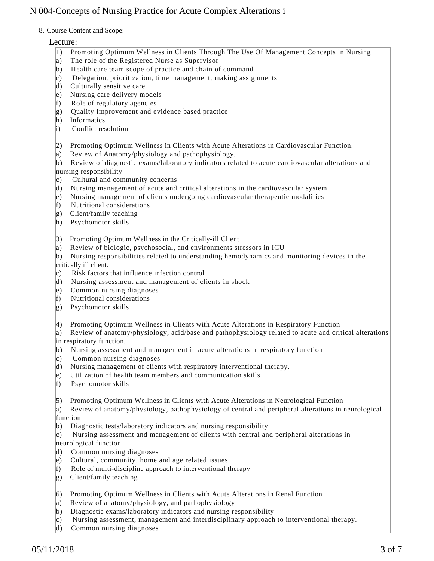#### 8. Course Content and Scope:

### Lecture:

- 1) Promoting Optimum Wellness in Clients Through The Use Of Management Concepts in Nursing
- a) The role of the Registered Nurse as Supervisor
- b) Health care team scope of practice and chain of command
- c) Delegation, prioritization, time management, making assignments
- d) Culturally sensitive care
- e) Nursing care delivery models
- f) Role of regulatory agencies
- g) Quality Improvement and evidence based practice
- h) Informatics
- i) Conflict resolution
- 2) Promoting Optimum Wellness in Clients with Acute Alterations in Cardiovascular Function.
- a) Review of Anatomy/physiology and pathophysiology.

b) Review of diagnostic exams/laboratory indicators related to acute cardiovascular alterations and nursing responsibility

- c) Cultural and community concerns
- d) Nursing management of acute and critical alterations in the cardiovascular system
- e) Nursing management of clients undergoing cardiovascular therapeutic modalities
- f) Nutritional considerations
- g) Client/family teaching
- h) Psychomotor skills
- 3) Promoting Optimum Wellness in the Critically-ill Client
- a) Review of biologic, psychosocial, and environments stressors in ICU
- b) Nursing responsibilities related to understanding hemodynamics and monitoring devices in the critically ill client.
- c) Risk factors that influence infection control
- d) Nursing assessment and management of clients in shock
- e) Common nursing diagnoses
- f) Nutritional considerations
- g) Psychomotor skills
- 4) Promoting Optimum Wellness in Clients with Acute Alterations in Respiratory Function

a) Review of anatomy/physiology, acid/base and pathophysiology related to acute and critical alterations in respiratory function.

- b) Nursing assessment and management in acute alterations in respiratory function
- c) Common nursing diagnoses
- d) Nursing management of clients with respiratory interventional therapy.
- e) Utilization of health team members and communication skills
- f) Psychomotor skills
- 5) Promoting Optimum Wellness in Clients with Acute Alterations in Neurological Function

a) Review of anatomy/physiology, pathophysiology of central and peripheral alterations in neurological function

- b) Diagnostic tests/laboratory indicators and nursing responsibility
- c) Nursing assessment and management of clients with central and peripheral alterations in
- neurological function.
- d) Common nursing diagnoses
- e) Cultural, community, home and age related issues
- f) Role of multi-discipline approach to interventional therapy
- g) Client/family teaching
- 6) Promoting Optimum Wellness in Clients with Acute Alterations in Renal Function
- a) Review of anatomy/physiology, and pathophysiology
- b) Diagnostic exams/laboratory indicators and nursing responsibility
- c) Nursing assessment, management and interdisciplinary approach to interventional therapy.
- d) Common nursing diagnoses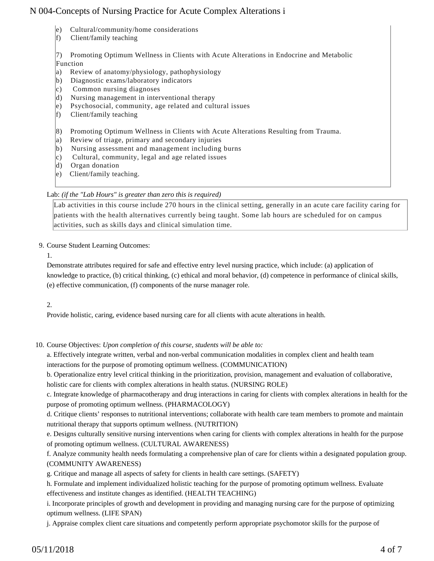- e) Cultural/community/home considerations
- f) Client/family teaching

7) Promoting Optimum Wellness in Clients with Acute Alterations in Endocrine and Metabolic Function

- a) Review of anatomy/physiology, pathophysiology
- b) Diagnostic exams/laboratory indicators
- c) Common nursing diagnoses
- d) Nursing management in interventional therapy
- e) Psychosocial, community, age related and cultural issues
- f) Client/family teaching
- 8) Promoting Optimum Wellness in Clients with Acute Alterations Resulting from Trauma.
- a) Review of triage, primary and secondary injuries
- b) Nursing assessment and management including burns
- c) Cultural, community, legal and age related issues
- d) Organ donation
- e) Client/family teaching.

#### Lab: *(if the "Lab Hours" is greater than zero this is required)*

Lab activities in this course include 270 hours in the clinical setting, generally in an acute care facility caring for patients with the health alternatives currently being taught. Some lab hours are scheduled for on campus activities, such as skills days and clinical simulation time.

9. Course Student Learning Outcomes:

1.

Demonstrate attributes required for safe and effective entry level nursing practice, which include: (a) application of knowledge to practice, (b) critical thinking, (c) ethical and moral behavior, (d) competence in performance of clinical skills, (e) effective communication, (f) components of the nurse manager role.

2.

Provide holistic, caring, evidence based nursing care for all clients with acute alterations in health.

- 10. Course Objectives: Upon completion of this course, students will be able to:
	- a. Effectively integrate written, verbal and non-verbal communication modalities in complex client and health team interactions for the purpose of promoting optimum wellness. (COMMUNICATION)

b. Operationalize entry level critical thinking in the prioritization, provision, management and evaluation of collaborative,

holistic care for clients with complex alterations in health status. (NURSING ROLE)

c. Integrate knowledge of pharmacotherapy and drug interactions in caring for clients with complex alterations in health for the purpose of promoting optimum wellness. (PHARMACOLOGY)

d. Critique clients' responses to nutritional interventions; collaborate with health care team members to promote and maintain nutritional therapy that supports optimum wellness. (NUTRITION)

e. Designs culturally sensitive nursing interventions when caring for clients with complex alterations in health for the purpose of promoting optimum wellness. (CULTURAL AWARENESS)

- f. Analyze community health needs formulating a comprehensive plan of care for clients within a designated population group. (COMMUNITY AWARENESS)
- g. Critique and manage all aspects of safety for clients in health care settings. (SAFETY)
- h. Formulate and implement individualized holistic teaching for the purpose of promoting optimum wellness. Evaluate effectiveness and institute changes as identified. (HEALTH TEACHING)

i. Incorporate principles of growth and development in providing and managing nursing care for the purpose of optimizing optimum wellness. (LIFE SPAN)

j. Appraise complex client care situations and competently perform appropriate psychomotor skills for the purpose of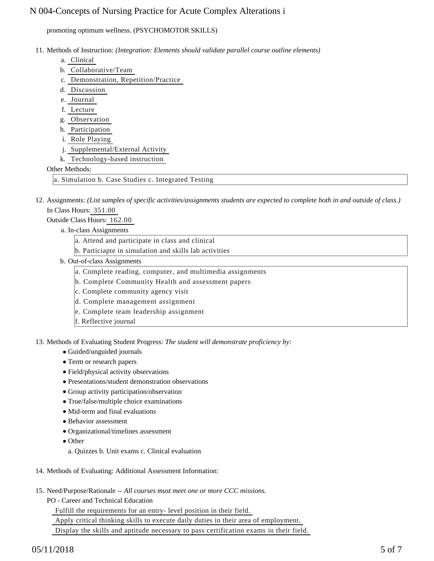promoting optimum wellness. (PSYCHOMOTOR SKILLS)

- 11. Methods of Instruction: *(Integration: Elements should validate parallel course outline elements)* 
	- a. Clinical
	- b. Collaborative/Team
	- c. Demonstration, Repetition/Practice
	- d. Discussion
	- e. Journal
	- f. Lecture
	- g. Observation
	- h. Participation
	- i. Role Playing
	- j. Supplemental/External Activity
	- k. Technology-based instruction

### Other Methods:

a. Simulation b. Case Studies c. Integrated Testing

12. Assignments: (List samples of specific activities/assignments students are expected to complete both in and outside of class.) In Class Hours: 351.00

## Outside Class Hours: 162.00

a. In-class Assignments

- a. Attend and participate in class and clinical
- b. Particiapte in simulation and skills lab activities
- b. Out-of-class Assignments
	- a. Complete reading, computer, and multimedia assignments
	- b. Complete Community Health and assessment papers
	- c. Complete community agency visit
	- d. Complete management assignment
	- e. Complete team leadership assignment
	- f. Reflective journal

13. Methods of Evaluating Student Progress: The student will demonstrate proficiency by:

- Guided/unguided journals
- Term or research papers
- Field/physical activity observations
- Presentations/student demonstration observations
- Group activity participation/observation
- True/false/multiple choice examinations
- Mid-term and final evaluations
- Behavior assessment
- Organizational/timelines assessment
- Other
- a. Quizzes b. Unit exams c. Clinical evaluation
- 14. Methods of Evaluating: Additional Assessment Information:
- 15. Need/Purpose/Rationale -- All courses must meet one or more CCC missions.
	- PO Career and Technical Education

 Fulfill the requirements for an entry- level position in their field. Apply critical thinking skills to execute daily duties in their area of employment. Display the skills and aptitude necessary to pass certification exams in their field.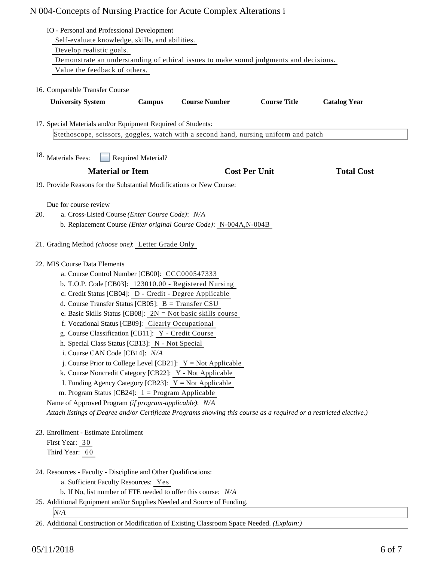| IO - Personal and Professional Development                                                                                                           |                                                                                                                                                                                                                                                                                                                                                                                                                                                    |        |                                                                                                                                                                                                                                                                                                                                                                                                                                                                                                |                      |                     |  |  |
|------------------------------------------------------------------------------------------------------------------------------------------------------|----------------------------------------------------------------------------------------------------------------------------------------------------------------------------------------------------------------------------------------------------------------------------------------------------------------------------------------------------------------------------------------------------------------------------------------------------|--------|------------------------------------------------------------------------------------------------------------------------------------------------------------------------------------------------------------------------------------------------------------------------------------------------------------------------------------------------------------------------------------------------------------------------------------------------------------------------------------------------|----------------------|---------------------|--|--|
|                                                                                                                                                      | Self-evaluate knowledge, skills, and abilities.                                                                                                                                                                                                                                                                                                                                                                                                    |        |                                                                                                                                                                                                                                                                                                                                                                                                                                                                                                |                      |                     |  |  |
| Develop realistic goals.<br>Demonstrate an understanding of ethical issues to make sound judgments and decisions.                                    |                                                                                                                                                                                                                                                                                                                                                                                                                                                    |        |                                                                                                                                                                                                                                                                                                                                                                                                                                                                                                |                      |                     |  |  |
|                                                                                                                                                      | Value the feedback of others.                                                                                                                                                                                                                                                                                                                                                                                                                      |        |                                                                                                                                                                                                                                                                                                                                                                                                                                                                                                |                      |                     |  |  |
|                                                                                                                                                      |                                                                                                                                                                                                                                                                                                                                                                                                                                                    |        |                                                                                                                                                                                                                                                                                                                                                                                                                                                                                                |                      |                     |  |  |
| 16. Comparable Transfer Course                                                                                                                       |                                                                                                                                                                                                                                                                                                                                                                                                                                                    |        |                                                                                                                                                                                                                                                                                                                                                                                                                                                                                                |                      |                     |  |  |
|                                                                                                                                                      | <b>University System</b>                                                                                                                                                                                                                                                                                                                                                                                                                           | Campus | <b>Course Number</b>                                                                                                                                                                                                                                                                                                                                                                                                                                                                           | <b>Course Title</b>  | <b>Catalog Year</b> |  |  |
| 17. Special Materials and/or Equipment Required of Students:                                                                                         |                                                                                                                                                                                                                                                                                                                                                                                                                                                    |        |                                                                                                                                                                                                                                                                                                                                                                                                                                                                                                |                      |                     |  |  |
| Stethoscope, scissors, goggles, watch with a second hand, nursing uniform and patch                                                                  |                                                                                                                                                                                                                                                                                                                                                                                                                                                    |        |                                                                                                                                                                                                                                                                                                                                                                                                                                                                                                |                      |                     |  |  |
| 18. Materials Fees:<br><b>Required Material?</b>                                                                                                     |                                                                                                                                                                                                                                                                                                                                                                                                                                                    |        |                                                                                                                                                                                                                                                                                                                                                                                                                                                                                                |                      |                     |  |  |
|                                                                                                                                                      | <b>Material or Item</b>                                                                                                                                                                                                                                                                                                                                                                                                                            |        |                                                                                                                                                                                                                                                                                                                                                                                                                                                                                                | <b>Cost Per Unit</b> | <b>Total Cost</b>   |  |  |
|                                                                                                                                                      |                                                                                                                                                                                                                                                                                                                                                                                                                                                    |        | 19. Provide Reasons for the Substantial Modifications or New Course:                                                                                                                                                                                                                                                                                                                                                                                                                           |                      |                     |  |  |
| Due for course review<br>20.<br>a. Cross-Listed Course (Enter Course Code): N/A<br>b. Replacement Course (Enter original Course Code): N-004A,N-004B |                                                                                                                                                                                                                                                                                                                                                                                                                                                    |        |                                                                                                                                                                                                                                                                                                                                                                                                                                                                                                |                      |                     |  |  |
|                                                                                                                                                      | 21. Grading Method (choose one): Letter Grade Only                                                                                                                                                                                                                                                                                                                                                                                                 |        |                                                                                                                                                                                                                                                                                                                                                                                                                                                                                                |                      |                     |  |  |
|                                                                                                                                                      | 22. MIS Course Data Elements<br>a. Course Control Number [CB00]: CCC000547333<br>d. Course Transfer Status [CB05]: B = Transfer CSU<br>f. Vocational Status [CB09]: Clearly Occupational<br>g. Course Classification [CB11]: Y - Credit Course<br>h. Special Class Status [CB13]: N - Not Special<br>i. Course CAN Code [CB14]: N/A<br>m. Program Status [CB24]: $1 =$ Program Applicable<br>Name of Approved Program (if program-applicable): N/A |        | b. T.O.P. Code [CB03]: 123010.00 - Registered Nursing<br>c. Credit Status [CB04]: D - Credit - Degree Applicable<br>e. Basic Skills Status [CB08]: $2N = Not basic skills course$<br>j. Course Prior to College Level [CB21]: $Y = Not$ Applicable<br>k. Course Noncredit Category [CB22]: Y - Not Applicable<br>1. Funding Agency Category [CB23]: $Y = Not$ Applicable<br>Attach listings of Degree and/or Certificate Programs showing this course as a required or a restricted elective.) |                      |                     |  |  |
| First Year: 30<br>Third Year: 60                                                                                                                     | 23. Enrollment - Estimate Enrollment                                                                                                                                                                                                                                                                                                                                                                                                               |        |                                                                                                                                                                                                                                                                                                                                                                                                                                                                                                |                      |                     |  |  |
|                                                                                                                                                      | 24. Resources - Faculty - Discipline and Other Qualifications:<br>a. Sufficient Faculty Resources: Yes                                                                                                                                                                                                                                                                                                                                             |        | b. If No, list number of FTE needed to offer this course: N/A<br>25. Additional Equipment and/or Supplies Needed and Source of Funding.                                                                                                                                                                                                                                                                                                                                                        |                      |                     |  |  |
| N/A                                                                                                                                                  |                                                                                                                                                                                                                                                                                                                                                                                                                                                    |        |                                                                                                                                                                                                                                                                                                                                                                                                                                                                                                |                      |                     |  |  |
|                                                                                                                                                      | 26. Additional Construction or Modification of Existing Classroom Space Needed. (Explain:)                                                                                                                                                                                                                                                                                                                                                         |        |                                                                                                                                                                                                                                                                                                                                                                                                                                                                                                |                      |                     |  |  |